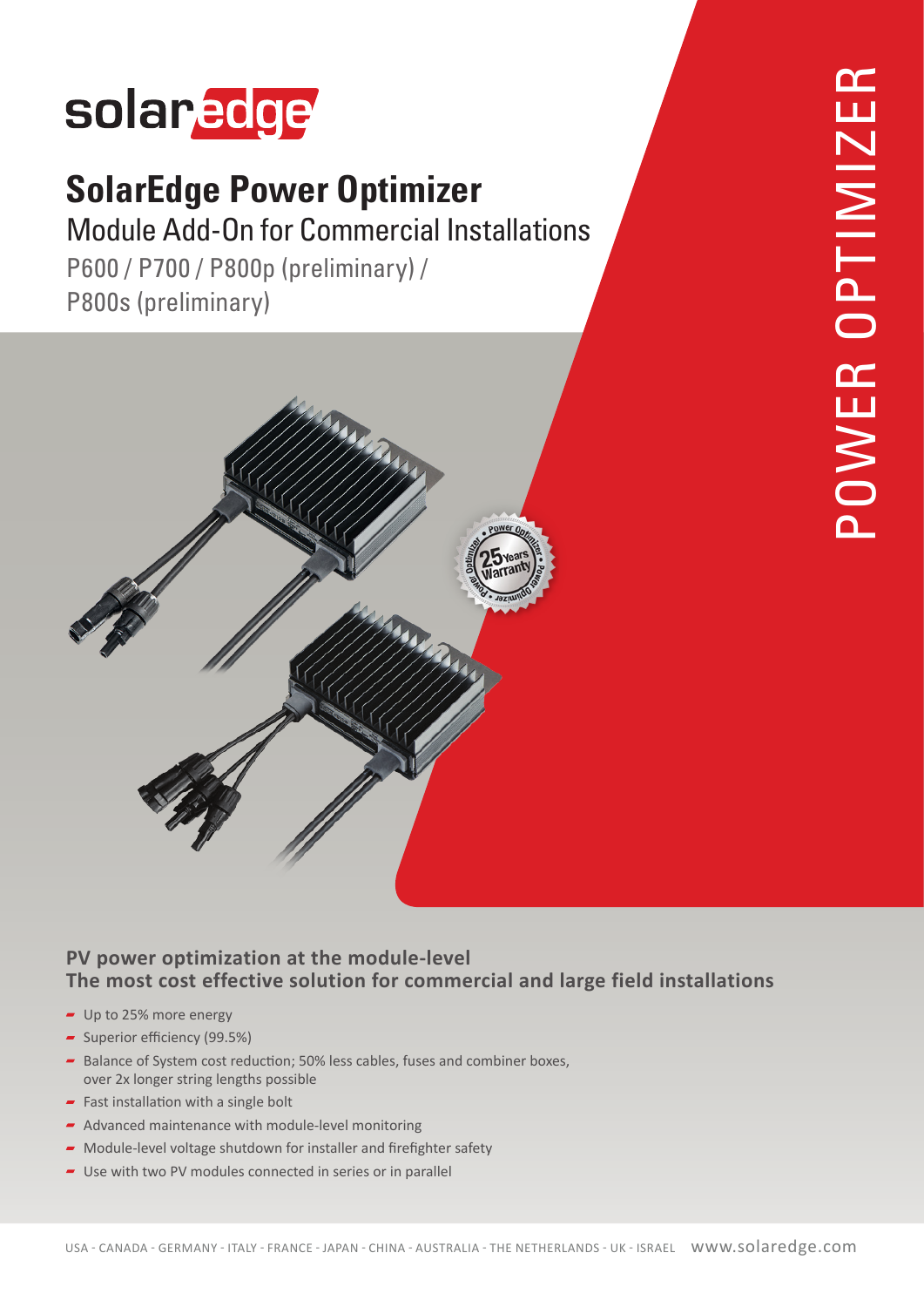# solaredge

#### **SolarEdge Power Optimizer**

**Module Add-On for Commercial Installations** 

P600 / P700 / P800p (preliminary) / P800s (preliminary)



#### **PV power optimization at the module-level** The most cost effective solution for commercial and large field installations

- $\blacksquare$  Up to 25% more energy
- $\sim$  Superior efficiency (99.5%)
- Balance of System cost reduction; 50% less cables, fuses and combiner boxes, over 2x longer string lengths possible
- Fast installation with a single bolt
- $\blacktriangleright$  Advanced maintenance with module-level monitoring
- $\blacktriangleright$  Module-level voltage shutdown for installer and firefighter safety
- $\blacksquare$  Use with two PV modules connected in series or in parallel